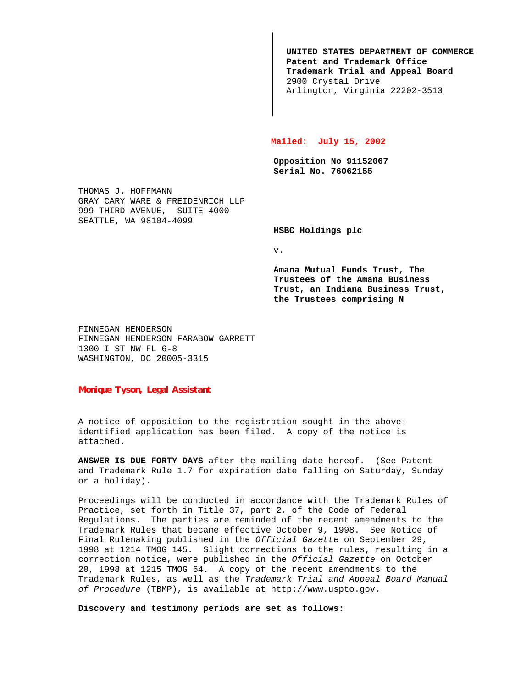**UNITED STATES DEPARTMENT OF COMMERCE Patent and Trademark Office Trademark Trial and Appeal Board** 2900 Crystal Drive Arlington, Virginia 22202-3513

## **Mailed: July 15, 2002**

**Opposition No 91152067 Serial No. 76062155**

THOMAS J. HOFFMANN GRAY CARY WARE & FREIDENRICH LLP 999 THIRD AVENUE, SUITE 4000 SEATTLE, WA 98104-4099

**HSBC Holdings plc**

v.

**Amana Mutual Funds Trust, The Trustees of the Amana Business Trust, an Indiana Business Trust, the Trustees comprising N**

FINNEGAN HENDERSON FINNEGAN HENDERSON FARABOW GARRETT 1300 I ST NW FL 6-8 WASHINGTON, DC 20005-3315

**Monique Tyson, Legal Assistant** 

A notice of opposition to the registration sought in the aboveidentified application has been filed. A copy of the notice is attached.

**ANSWER IS DUE FORTY DAYS** after the mailing date hereof. (See Patent and Trademark Rule 1.7 for expiration date falling on Saturday, Sunday or a holiday).

Proceedings will be conducted in accordance with the Trademark Rules of Practice, set forth in Title 37, part 2, of the Code of Federal Regulations. The parties are reminded of the recent amendments to the Trademark Rules that became effective October 9, 1998. See Notice of Final Rulemaking published in the Official Gazette on September 29, 1998 at 1214 TMOG 145. Slight corrections to the rules, resulting in a correction notice, were published in the Official Gazette on October 20, 1998 at 1215 TMOG 64. A copy of the recent amendments to the Trademark Rules, as well as the Trademark Trial and Appeal Board Manual of Procedure (TBMP), is available at http://www.uspto.gov.

**Discovery and testimony periods are set as follows:**